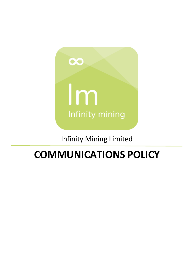

# Infinity Mining Limited

# **COMMUNICATIONS POLICY**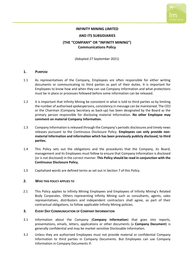#### **INFINITY MINING LIMITED**

#### **AND ITS SUBSIDIARIES**

# **(THE "COMPANY" OR "INFINITY MINING") Communications Policy**

(Adopted 27 September 2021)

#### **1. PURPOSE**

- 1.1 As representatives of the Company, Employees are often responsible for either writing documents or communicating to third parties as part of their duties. It is important for Employees to know how and when they can use Company Information and what protections must be in place or processes followed before some information can be released.
- 1.2 It is important that Infinity Mining be consistent in what is told to third parties so by limiting the number of authorised spokespersons, consistency in message can be maintained. The CEO or the Chairman (Company Secretary as back-up) has been designated by the Board as the primary person responsible for disclosing material Information. **No other Employee may comment on material Company Information.**
- 1.3 Company Information is released through the Company's periodic disclosures and timely news releases pursuant to the Continuous Disclosure Policy. **Employees can only provide nonmaterial Information and information which has been previously publicly disclosed, to third parties.**
- 1.4 This Policy sets out the obligations and the procedures that the Company, its Board, management and its Employees must follow to ensure that Company Information is disclosed (or is not disclosed) in the correct manner. **This Policy should be read in conjunction with the Continuous Disclosure Policy.**
- 1.5 Capitalised words are defined terms as set out in Section 7 of this Policy.

#### **2. WHO THIS POLICY APPLIES TO**

2.1 This Policy applies to Infinity Mining Employees and Employees of Infinity Mining's Related Body Corporates. Others representing Infinity Mining such as consultants, agents, sales representatives, distributors and independent contractors shall agree, as part of their contractual obligations, to follow applicable Infinity Mining policies.

#### **3. EVERY DAY COMMUNICATION OF COMPANY INFORMATION**

- 3.1 Information about the Company (**Company Information**) that goes into reports, presentations, emails, letters, applications or other documents (a **Company Document**) is generally confidential and may be market sensitive Disclosable Information.
- 3.2 Unless they are authorised Employees must not provide material or confidential Company Information to third parties in Company Documents. But Employees can use Company Information in Company Documents if: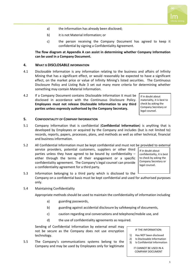- a) the information has already been disclosed;
- b) it is not Material Information; or
- c) the person receiving the Company Document has agreed to keep it confidential by signing a Confidentiality Agreement.

**The flow diagram at Appendix A can assist in determining whether Company Information can be used in a Company Document.** 

#### **4. WHAT IS DISCLOSABLE INFORMATION**

- 4.1 Disclosable Information is any information relating to the business and affairs of Infinity Mining that has a significant effect, or would reasonably be expected to have a significant effect, on the market price or value of Infinity Mining's listed securities. The Continuous Disclosure Policy and Listing Rule 3 set out many more criteria for determining whether something may contain Material Information.
- 4.2 If a Company Document contains Disclosable Information it must be disclosed in accordance with the Continuous Disclosure Policy. **Employees must not release Disclosable Information to any third parties unless expressly authorised by the Company Secretary.**

If in doubt about materiality, it is best to check by asking the Company Secretary or legal counsel.

#### **5. CONFIDENTIALITY OF COMPANY INFORMATION**

- 5.1 Company Information that is confidential (**Confidential Information**) is anything that is developed by Employees or acquired by the Company and includes (but is not limited to) records, reports, papers, processes, plans, and methods as well as other technical, financial and business information.
- 5.2 All Confidential Information must be kept confidential and must not be provided to external service providers, potential customers, suppliers or other third parties unless they have agreed to be bound by confidentiality  $$ either through the terms of their engagement or a specific confidentiality agreement. The Company's legal counsel can provide a confidentiality agreement for a third party.

If in doubt about confidentiality, it is best to check by asking the Company Secretary or legal counsel.

- 5.3 Information belonging to a third party which is disclosed to the Company on a confidential basis must be kept confidential and used for authorised purposes only.
- 5.4 Maintaining Confidentiality

Appropriate methods should be used to maintain the confidentiality of information including

- a) guarding passwords,
- b) guarding against accidental disclosure by safekeeping of documents,
- c) caution regarding oral conversations and telephone/mobile use, and
- d) the use of confidentiality agreements as required.

Sending of Confidential Information by external email may not be secure as the Company does not use encryption technology.

5.5 The Company's communications systems belong to the Company and may be used by Employees only for legitimate

#### IF THE INFORMATION:

- 1) Has NOT been disclosed
- 2) Is Disclosable Information
- 3) Is Confidential Information

IT CANNOT BE USED IN A COMPANY DOCUMENT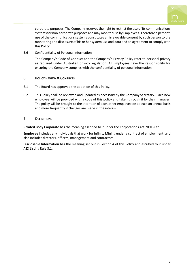

corporate purposes. The Company reserves the right to restrict the use of its communications systems for non-corporate purposes and may monitor use by Employees. Therefore a person's use of the communications systems constitutes an irrevocable consent by such person to the monitoring and disclosure of his or her system use and data and an agreement to comply with this Policy.

5.6 Confidentiality of Personal Information

The Company's Code of Conduct and the Company's Privacy Policy refer to personal privacy as required under Australian privacy legislation. All Employees have the responsibility for ensuring the Company complies with the confidentiality of personal information.

## **6. POLICY REVIEW & CONFLICTS**

- 6.1 The Board has approved the adoption of this Policy.
- 6.2 This Policy shall be reviewed and updated as necessary by the Company Secretary. Each new employee will be provided with a copy of this policy and taken through it by their manager. The policy will be brought to the attention of each other employee on at least an annual basis and more frequently if changes are made in the interim.

## **7. DEFINITIONS**

**Related Body Corporate** has the meaning ascribed to it under the Corporations Act 2001 (Cth).

**Employee** includes any individuals that work for Infinity Mining under a contract of employment, and also includes directors, officers, management and contractors.

**Disclosable Information** has the meaning set out in Section 4 of this Policy and ascribed to it under ASX Listing Rule 3.1.